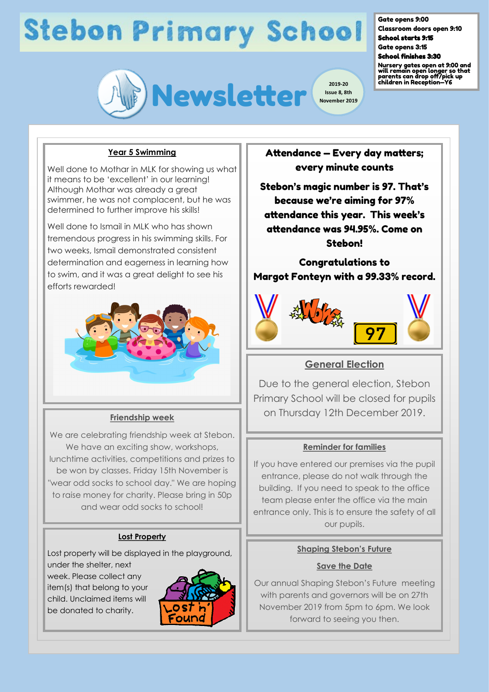

**Issue 8, 8th November 2019**

#### Gate opens 9:00

Classroom doors open 9:10 School starts 9:15

Gate opens 3:15 School finishes 3:30

Nursery gates open at 9:00 and will remain open longer so that parents can drop off/pick up children in Reception—Y6

### **Year 5 Swimming**

Well done to Mothar in MLK for showing us what it means to be 'excellent' in our learning! Although Mothar was already a great swimmer, he was not complacent, but he was determined to further improve his skills!

Well done to Ismail in MLK who has shown tremendous progress in his swimming skills. For two weeks, Ismail demonstrated consistent determination and eagerness in learning how to swim, and it was a great delight to see his efforts rewarded!



#### **Friendship week**

We are celebrating friendship week at Stebon. We have an exciting show, workshops, lunchtime activities, competitions and prizes to be won by classes. Friday 15th November is "wear odd socks to school day." We are hoping to raise money for charity. Please bring in 50p and wear odd socks to school!

### **Lost Property**

Lost property will be displayed in the playground, under the shelter, next

week. Please collect any item(s) that belong to your child. Unclaimed items will be donated to charity.



Attendance — Every day matters; every minute counts

Stebon's magic number is 97. That's because we're aiming for 97% attendance this year. This week's attendance was 94.95%. Come on Stebon!

Congratulations to Margot Fonteyn with a 99.33% record.



### **General Election**

Due to the general election, Stebon Primary School will be closed for pupils on Thursday 12th December 2019.

#### **Reminder for families**

If you have entered our premises via the pupil entrance, please do not walk through the building. If you need to speak to the office team please enter the office via the main entrance only. This is to ensure the safety of all our pupils.

#### **Shaping Stebon's Future**

#### **Save the Date**

Our annual Shaping Stebon's Future meeting with parents and governors will be on 27th November 2019 from 5pm to 6pm. We look forward to seeing you then.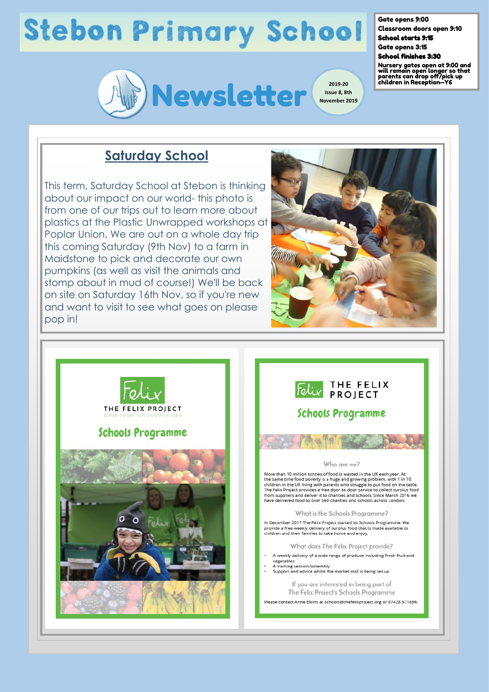

Gate opens 9:00

Classroom doors open 9:10 School starts 9:15 Gate opens 3:15

School finishes 3:30

Nursery gates open at 9:00 and will remain open longer so that parents can drop off/pick up children in Reception—Y6

### **Saturday School**

This term, Saturday School at Stebon is thinking about our impact on our world- this photo is from one of our trips out to learn more about plastics at the Plastic Unwrapped workshops at Poplar Union. We are out on a whole day trip this coming Saturday (9th Nov) to a farm in Maidstone to pick and decorate our own pumpkins (as well as visit the animals and stomp about in mud of course!) We'll be back on site on Saturday 16th Nov, so if you're new and want to visit to see what goes on please pop in!



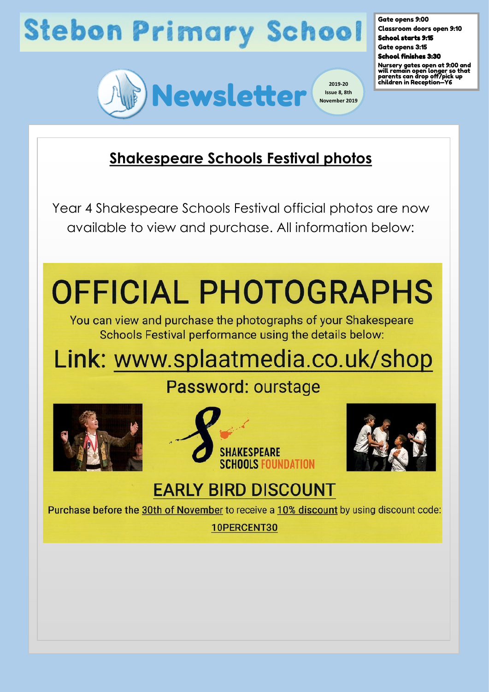

Gate opens 9:00 Classroom doors open 9:10 School starts 9:15 Gate opens 3:15

School finishes 3:30

Nursery gates open at 9:00 and will remain open longer so that parents can drop off/pick up children in Reception—Y6

### **Shakespeare Schools Festival photos**

Year 4 Shakespeare Schools Festival official photos are now available to view and purchase. All information below:

# **OFFICIAL PHOTOGRAPHS**

You can view and purchase the photographs of your Shakespeare Schools Festival performance using the details below:

### Link: www.splaatmedia.co.uk/shop

### Password: ourstage







### **EARLY BIRD DISCOUNT**

Purchase before the 30th of November to receive a 10% discount by using discount code:

10PERCENT30